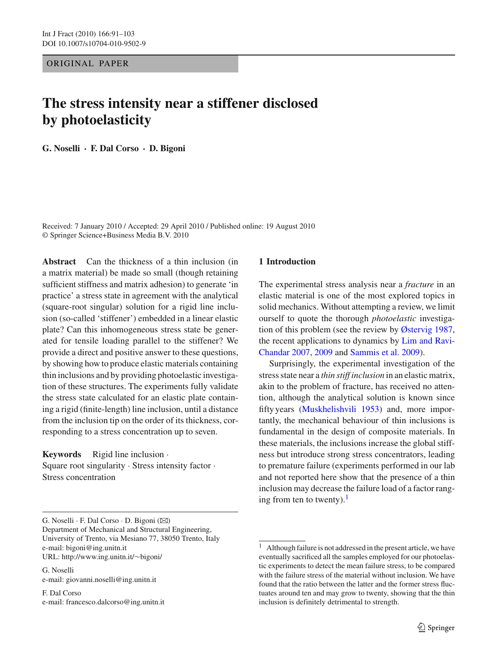ORIGINAL PAPER

# **The stress intensity near a stiffener disclosed by photoelasticity**

**G. Noselli · F. Dal Corso · D. Bigoni**

Received: 7 January 2010 / Accepted: 29 April 2010 / Published online: 19 August 2010 © Springer Science+Business Media B.V. 2010

**Abstract** Can the thickness of a thin inclusion (in a matrix material) be made so small (though retaining sufficient stiffness and matrix adhesion) to generate 'in practice' a stress state in agreement with the analytical (square-root singular) solution for a rigid line inclusion (so-called 'stiffener') embedded in a linear elastic plate? Can this inhomogeneous stress state be generated for tensile loading parallel to the stiffener? We provide a direct and positive answer to these questions, by showing how to produce elastic materials containing thin inclusions and by providing photoelastic investigation of these structures. The experiments fully validate the stress state calculated for an elastic plate containing a rigid (finite-length) line inclusion, until a distance from the inclusion tip on the order of its thickness, corresponding to a stress concentration up to seven.

**Keywords** Rigid line inclusion · Square root singularity · Stress intensity factor · Stress concentration

#### **1 Introduction**

The experimental stress analysis near a *fracture* in an elastic material is one of the most explored topics in solid mechanics. Without attempting a review, we limit ourself to quote the thorough *photoelastic* investigation of this problem (see the review by [Østervig 1987,](#page-12-0) the rece[nt](#page-12-1) [applications](#page-12-1) [to](#page-12-1) [dynamics](#page-12-1) [by](#page-12-1) Lim and Ravi-Chandar [2007,](#page-12-1) [2009](#page-12-2) and [Sammis et al. 2009](#page-12-3)).

Surprisingly, the experimental investigation of the stress state near a *thin stiff inclusion* in an elastic matrix, akin to the problem of fracture, has received no attention, although the analytical solution is known since fifty years [\(Muskhelishvili 1953\)](#page-12-4) and, more importantly, the mechanical behaviour of thin inclusions is fundamental in the design of composite materials. In these materials, the inclusions increase the global stiffness but introduce strong stress concentrators, leading to premature failure (experiments performed in our lab and not reported here show that the presence of a thin inclusion may decrease the failure load of a factor ranging from ten to twenty). $<sup>1</sup>$  $<sup>1</sup>$  $<sup>1</sup>$ </sup>

G. Noselli · F. Dal Corso · D. Bigoni (B)

Department of Mechanical and Structural Engineering, University of Trento, via Mesiano 77, 38050 Trento, Italy e-mail: bigoni@ing.unitn.it URL: http://www.ing.unitn.it/∼bigoni/

G. Noselli e-mail: giovanni.noselli@ing.unitn.it

F. Dal Corso e-mail: francesco.dalcorso@ing.unitn.it

<span id="page-0-0"></span> $1$  Although failure is not addressed in the present article, we have eventually sacrificed all the samples employed for our photoelastic experiments to detect the mean failure stress, to be compared with the failure stress of the material without inclusion. We have found that the ratio between the latter and the former stress fluctuates around ten and may grow to twenty, showing that the thin inclusion is definitely detrimental to strength.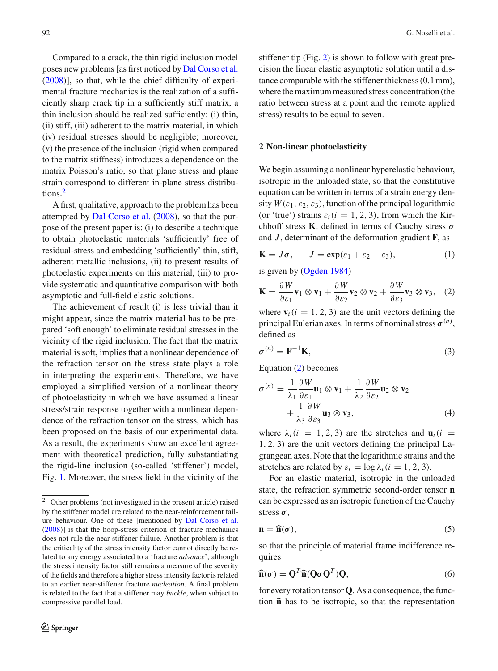Compared to a crack, the thin rigid inclusion model poses new problems [as first noticed by [Dal Corso et al.](#page-12-5) [\(2008\)](#page-12-5)], so that, while the chief difficulty of experimental fracture mechanics is the realization of a sufficiently sharp crack tip in a sufficiently stiff matrix, a thin inclusion should be realized sufficiently: (i) thin, (ii) stiff, (iii) adherent to the matrix material, in which (iv) residual stresses should be negligible; moreover, (v) the presence of the inclusion (rigid when compared to the matrix stiffness) introduces a dependence on the matrix Poisson's ratio, so that plane stress and plane strain correspond to different in-plane stress distributions.[2](#page-1-0)

A first, qualitative, approach to the problem has been attempted by [Dal Corso et al.](#page-12-5) [\(2008\)](#page-12-5), so that the purpose of the present paper is: (i) to describe a technique to obtain photoelastic materials 'sufficiently' free of residual-stress and embedding 'sufficiently' thin, stiff, adherent metallic inclusions, (ii) to present results of photoelastic experiments on this material, (iii) to provide systematic and quantitative comparison with both asymptotic and full-field elastic solutions.

The achievement of result (i) is less trivial than it might appear, since the matrix material has to be prepared 'soft enough' to eliminate residual stresses in the vicinity of the rigid inclusion. The fact that the matrix material is soft, implies that a nonlinear dependence of the refraction tensor on the stress state plays a role in interpreting the experiments. Therefore, we have employed a simplified version of a nonlinear theory of photoelasticity in which we have assumed a linear stress/strain response together with a nonlinear dependence of the refraction tensor on the stress, which has been proposed on the basis of our experimental data. As a result, the experiments show an excellent agreement with theoretical prediction, fully substantiating the rigid-line inclusion (so-called 'stiffener') model, Fig. [1.](#page-2-0) Moreover, the stress field in the vicinity of the stiffener tip (Fig. [2\)](#page-3-0) is shown to follow with great precision the linear elastic asymptotic solution until a distance comparable with the stiffener thickness (0.1 mm), where the maximum measured stress concentration (the ratio between stress at a point and the remote applied stress) results to be equal to seven.

#### **2 Non-linear photoelasticity**

We begin assuming a nonlinear hyperelastic behaviour, isotropic in the unloaded state, so that the constitutive equation can be written in terms of a strain energy density  $W(\varepsilon_1, \varepsilon_2, \varepsilon_3)$ , function of the principal logarithmic (or 'true') strains  $\varepsilon_i$  ( $i = 1, 2, 3$ ), from which the Kirchhoff stress **K**, defined in terms of Cauchy stress *σ* and *J* , determinant of the deformation gradient **F**, as

$$
\mathbf{K} = J\boldsymbol{\sigma}, \qquad J = \exp(\varepsilon_1 + \varepsilon_2 + \varepsilon_3), \tag{1}
$$

is given by [\(Ogden 1984\)](#page-12-6)

<span id="page-1-1"></span>
$$
\mathbf{K} = \frac{\partial W}{\partial \varepsilon_1} \mathbf{v}_1 \otimes \mathbf{v}_1 + \frac{\partial W}{\partial \varepsilon_2} \mathbf{v}_2 \otimes \mathbf{v}_2 + \frac{\partial W}{\partial \varepsilon_3} \mathbf{v}_3 \otimes \mathbf{v}_3, \quad (2)
$$

where  $\mathbf{v}_i$  ( $i = 1, 2, 3$ ) are the unit vectors defining the principal Eulerian axes. In terms of nominal stress  $\sigma^{(n)}$ , defined as

$$
\sigma^{(n)} = \mathbf{F}^{-1}\mathbf{K},\tag{3}
$$

Equation [\(2\)](#page-1-1) becomes

<span id="page-1-2"></span>
$$
\sigma^{(n)} = \frac{1}{\lambda_1} \frac{\partial W}{\partial \varepsilon_1} \mathbf{u}_1 \otimes \mathbf{v}_1 + \frac{1}{\lambda_2} \frac{\partial W}{\partial \varepsilon_2} \mathbf{u}_2 \otimes \mathbf{v}_2 + \frac{1}{\lambda_3} \frac{\partial W}{\partial \varepsilon_3} \mathbf{u}_3 \otimes \mathbf{v}_3,
$$
(4)

where  $\lambda_i$  (*i* = 1, 2, 3) are the stretches and  $\mathbf{u}_i$  (*i* = 1, 2, 3) are the unit vectors defining the principal Lagrangean axes. Note that the logarithmic strains and the stretches are related by  $\varepsilon_i = \log \lambda_i (i = 1, 2, 3)$ .

For an elastic material, isotropic in the unloaded state, the refraction symmetric second-order tensor **n** can be expressed as an isotropic function of the Cauchy<br>stress  $\sigma$ ,<br> $\mathbf{n} = \hat{\mathbf{n}}(\sigma)$ , (5) stress *σ*,

$$
\mathbf{n} = \widehat{\mathbf{n}}(\sigma),\tag{5}
$$

so that the principle of material frame indifference requires<br>  $\hat{\mathbf{n}}(\sigma) = \mathbf{Q}^T \hat{\mathbf{n}} (\mathbf{Q} \sigma \mathbf{Q}^T) \mathbf{Q},$ (6) quires

$$
\widehat{\mathbf{n}}(\sigma) = \mathbf{Q}^T \widehat{\mathbf{n}}(\mathbf{Q}\sigma \mathbf{Q}^T) \mathbf{Q},\tag{6}
$$

for every rotation tensor **Q**. As a consequence, the func- $\hat{\mathbf{n}}(\sigma)$  =<br>for ever<br>tion  $\hat{\mathbf{n}}$ tion  $\hat{\mathbf{n}}$  has to be isotropic, so that the representation

<span id="page-1-0"></span><sup>2</sup> Other problems (not investigated in the present article) raised by the stiffener model are related to the near-reinforcement failure behaviour. One of these [mentioned by [Dal Corso et al.](#page-12-5) [\(2008](#page-12-5))] is that the hoop-stress criterion of fracture mechanics does not rule the near-stiffener failure. Another problem is that the criticality of the stress intensity factor cannot directly be related to any energy associated to a 'fracture *advance*', although the stress intensity factor still remains a measure of the severity of the fields and therefore a higher stress intensity factor is related to an earlier near-stiffener fracture *nucleation*. A final problem is related to the fact that a stiffener may *buckle*, when subject to compressive parallel load.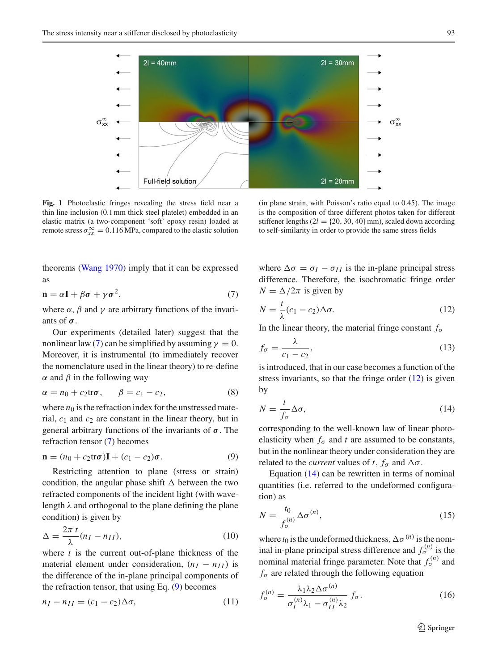

<span id="page-2-0"></span>**Fig. 1** Photoelastic fringes revealing the stress field near a thin line inclusion (0.1mm thick steel platelet) embedded in an elastic matrix (a two-component 'soft' epoxy resin) loaded at remote stress  $\sigma_{xx}^{\infty} = 0.116 \text{ MPa}$ , compared to the elastic solution

(in plane strain, with Poisson's ratio equal to 0.45). The image is the composition of three different photos taken for different stiffener lengths  $(2l = {20, 30, 40}$  mm), scaled down according to self-similarity in order to provide the same stress fields

theorems [\(Wang 1970](#page-12-7)) imply that it can be expressed as

<span id="page-2-1"></span>
$$
\mathbf{n} = \alpha \mathbf{I} + \beta \boldsymbol{\sigma} + \gamma \boldsymbol{\sigma}^2,\tag{7}
$$

where  $\alpha$ ,  $\beta$  and  $\gamma$  are arbitrary functions of the invariants of *σ*.

Our experiments (detailed later) suggest that the nonlinear law [\(7\)](#page-2-1) can be simplified by assuming  $\gamma = 0$ . Moreover, it is instrumental (to immediately recover the nomenclature used in the linear theory) to re-define  $\alpha$  and  $\beta$  in the following way

$$
\alpha = n_0 + c_2 \text{tr}\sigma, \qquad \beta = c_1 - c_2,\tag{8}
$$

where  $n_0$  is the refraction index for the unstressed material, *c*<sup>1</sup> and *c*<sup>2</sup> are constant in the linear theory, but in general arbitrary functions of the invariants of *σ*. The refraction tensor [\(7\)](#page-2-1) becomes

<span id="page-2-2"></span>
$$
\mathbf{n} = (n_0 + c_2 \text{tr}\boldsymbol{\sigma})\mathbf{I} + (c_1 - c_2)\boldsymbol{\sigma}.
$$
 (9)

Restricting attention to plane (stress or strain) condition, the angular phase shift  $\Delta$  between the two refracted components of the incident light (with wavelength  $\lambda$  and orthogonal to the plane defining the plane condition) is given by

$$
\Delta = \frac{2\pi t}{\lambda} (n_I - n_{II}),\tag{10}
$$

where *t* is the current out-of-plane thickness of the material element under consideration,  $(n_I - n_{II})$  is the difference of the in-plane principal components of the refraction tensor, that using Eq. [\(9\)](#page-2-2) becomes

$$
n_I - n_{II} = (c_1 - c_2) \Delta \sigma, \qquad (11)
$$

where  $\Delta \sigma = \sigma_I - \sigma_{II}$  is the in-plane principal stress difference. Therefore, the isochromatic fringe order  $N = \Delta/2\pi$  is given by

<span id="page-2-3"></span>
$$
N = \frac{t}{\lambda}(c_1 - c_2)\Delta\sigma.
$$
 (12)

In the linear theory, the material fringe constant  $f_{\sigma}$ 

$$
f_{\sigma} = \frac{\lambda}{c_1 - c_2},\tag{13}
$$

is introduced, that in our case becomes a function of the stress invariants, so that the fringe order  $(12)$  is given by

<span id="page-2-4"></span>
$$
N = \frac{t}{f_{\sigma}} \Delta \sigma,\tag{14}
$$

corresponding to the well-known law of linear photoelasticity when  $f_{\sigma}$  and *t* are assumed to be constants, but in the nonlinear theory under consideration they are related to the *current* values of *t*,  $f_{\sigma}$  and  $\Delta \sigma$ .

Equation [\(14\)](#page-2-4) can be rewritten in terms of nominal quantities (i.e. referred to the undeformed configuration) as

<span id="page-2-6"></span>
$$
N = \frac{t_0}{f_{\sigma}^{(n)}} \Delta \sigma^{(n)},\tag{15}
$$

where  $t_0$  is the undeformed thickness,  $\Delta \sigma^{(n)}$  is the nominal in-plane principal stress difference and  $f_{\sigma}^{(n)}$  is the nominal material fringe parameter. Note that  $f_{\sigma}^{(n)}$  and  $f_{\sigma}$  are related through the following equation

<span id="page-2-5"></span>
$$
f_{\sigma}^{(n)} = \frac{\lambda_1 \lambda_2 \Delta \sigma^{(n)}}{\sigma_I^{(n)} \lambda_1 - \sigma_{II}^{(n)} \lambda_2} f_{\sigma}.
$$
 (16)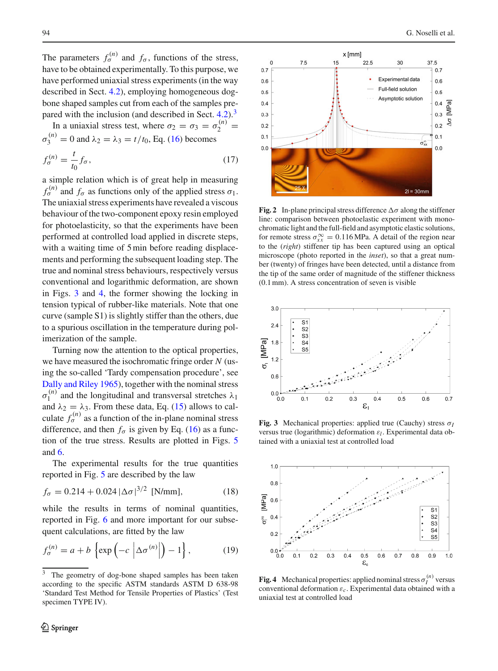The parameters  $f_{\sigma}^{(n)}$  and  $f_{\sigma}$ , functions of the stress, have to be obtained experimentally. To this purpose, we have performed uniaxial stress experiments (in the way described in Sect. [4.2\)](#page-6-0), employing homogeneous dogbone shaped samples cut from each of the samples pre-pared with the inclusion (and described in Sect. [4.2\)](#page-6-0).<sup>[3](#page-3-1)</sup>

In a uniaxial stress test, where  $\sigma_2 = \sigma_3 = \sigma_2^{(n)}$  $\sigma_3^{(n)} = 0$  and  $\lambda_2 = \lambda_3 = t/t_0$ , Eq. [\(16\)](#page-2-5) becomes

$$
f_{\sigma}^{(n)} = \frac{t}{t_0} f_{\sigma},\tag{17}
$$

a simple relation which is of great help in measuring  $f_{\sigma}^{(n)}$  and  $f_{\sigma}$  as functions only of the applied stress  $\sigma_1$ . The uniaxial stress experiments have revealed a viscous behaviour of the two-component epoxy resin employed for photoelasticity, so that the experiments have been performed at controlled load applied in discrete steps, with a waiting time of 5 min before reading displacements and performing the subsequent loading step. The true and nominal stress behaviours, respectively versus conventional and logarithmic deformation, are shown in Figs. [3](#page-3-2) and [4,](#page-3-3) the former showing the locking in tension typical of rubber-like materials. Note that one curve (sample S1) is slightly stiffer than the others, due to a spurious oscillation in the temperature during polimerization of the sample.

Turning now the attention to the optical properties, we have measured the isochromatic fringe order *N* (using the so-called 'Tardy compensation procedure', see [Dally and Riley 1965\)](#page-12-8), together with the nominal stress  $\sigma_1^{(n)}$  and the longitudinal and transversal stretches  $\lambda_1$ and  $\lambda_2 = \lambda_3$ . From these data, Eq. [\(15\)](#page-2-6) allows to calculate  $f_{\sigma}^{(n)}$  as a function of the in-plane nominal stress difference, and then  $f_{\sigma}$  is given by Eq. [\(16\)](#page-2-5) as a function of the true stress. Results are plotted in Figs. [5](#page-4-0) and [6.](#page-4-1)

The experimental results for the true quantities reported in Fig. [5](#page-4-0) are described by the law

<span id="page-3-4"></span>
$$
f_{\sigma} = 0.214 + 0.024 |\Delta \sigma|^{3/2} \text{ [N/mm]}, \tag{18}
$$

while the results in terms of nominal quantities, reported in Fig. [6](#page-4-1) and more important for our subsequent calculations, are fitted by the law the state in terms of<br>i. 6 and more imposes, are fitted by t<br>exp  $\left(-c \left| \Delta \sigma^{(n)} \right| \right)$ 

<span id="page-3-5"></span>
$$
f_{\sigma}^{(n)} = a + b \left\{ \exp \left( -c \left| \Delta \sigma^{(n)} \right| \right) - 1 \right\},\tag{19}
$$



<span id="page-3-0"></span>**Fig. 2** In-plane principal stress difference  $\Delta \sigma$  along the stiffener line: comparison between photoelastic experiment with monochromatic light and the full-field and asymptotic elastic solutions, for remote stress  $\sigma_{xx}^{\infty} = 0.116 \text{ MPa}$ . A detail of the region near to the (*right*) stiffener tip has been captured using an optical microscope (photo reported in the *inset*), so that a great number (twenty) of fringes have been detected, until a distance from the tip of the same order of magnitude of the stiffener thickness (0.1mm). A stress concentration of seven is visible



<span id="page-3-2"></span>**Fig. 3** Mechanical properties: applied true (Cauchy) stress σ*<sup>I</sup>* versus true (logarithmic) deformation ε*l* . Experimental data obtained with a uniaxial test at controlled load



<span id="page-3-3"></span>**Fig. 4** Mechanical properties: applied nominal stress  $\sigma_I^{(n)}$  versus conventional deformation ε*c*. Experimental data obtained with a uniaxial test at controlled load

<span id="page-3-1"></span><sup>&</sup>lt;sup>3</sup> The geometry of dog-bone shaped samples has been taken according to the specific ASTM standards ASTM D 638-98 'Standard Test Method for Tensile Properties of Plastics' (Test specimen TYPE IV).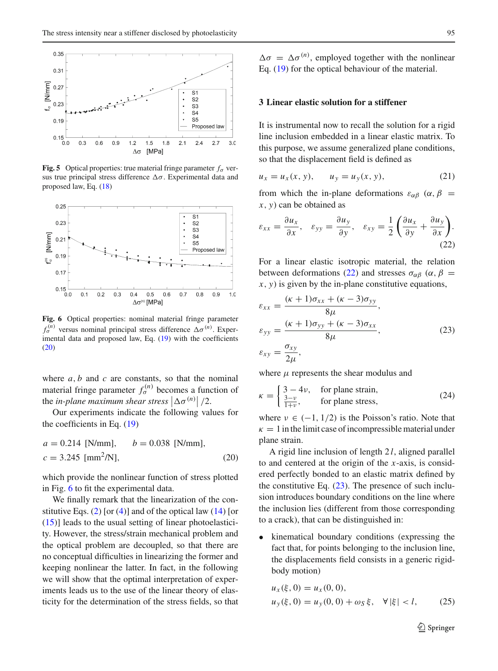

<span id="page-4-0"></span>**Fig. 5** Optical properties: true material fringe parameter  $f_{\sigma}$  versus true principal stress difference  $\Delta \sigma$ . Experimental data and proposed law, Eq. [\(18\)](#page-3-4)



<span id="page-4-1"></span>**Fig. 6** Optical properties: nominal material fringe parameter  $f_{\sigma}^{(n)}$  versus nominal principal stress difference  $\Delta \sigma^{(n)}$ . Exper-imental data and proposed law, Eq. [\(19\)](#page-3-5) with the coefficients [\(20\)](#page-4-2)

where  $a, b$  and  $c$  are constants, so that the nominal material fringe parameter  $f_{\sigma}^{(n)}$  becomes a function of where *a*, *b* and *c* are constants, so material fringe parameter  $f_{\sigma}^{(n)}$  becompted the *in-plane maximum shear stress*  $\Delta \sigma^{(n)} \big| / 2.$ 

Our experiments indicate the following values for the coefficients in Eq. [\(19\)](#page-3-5)

<span id="page-4-2"></span>
$$
a = 0.214
$$
 [N/mm],  $b = 0.038$  [N/mm],  
 $c = 3.245$  [mm<sup>2</sup>/N], (20)

which provide the nonlinear function of stress plotted in Fig. [6](#page-4-1) to fit the experimental data.

We finally remark that the linearization of the con-stitutive Eqs. [\(2\)](#page-1-1) [or [\(4\)](#page-1-2)] and of the optical law  $(14)$  [or  $(15)$ ] leads to the usual setting of linear photoelasticity. However, the stress/strain mechanical problem and the optical problem are decoupled, so that there are no conceptual difficulties in linearizing the former and keeping nonlinear the latter. In fact, in the following we will show that the optimal interpretation of experiments leads us to the use of the linear theory of elasticity for the determination of the stress fields, so that

 $\Delta \sigma = \Delta \sigma^{(n)}$ , employed together with the nonlinear Eq. [\(19\)](#page-3-5) for the optical behaviour of the material.

### **3 Linear elastic solution for a stiffener**

It is instrumental now to recall the solution for a rigid line inclusion embedded in a linear elastic matrix. To this purpose, we assume generalized plane conditions, so that the displacement field is defined as

$$
u_x = u_x(x, y), \t u_y = u_y(x, y), \t(21)
$$

from which the in-plane deformations  $\varepsilon_{\alpha\beta}$  ( $\alpha$ ,  $\beta$ ) *x*, *y*) can be obtained as

<span id="page-4-3"></span>
$$
\varepsilon_{xx} = \frac{\partial u_x}{\partial x}, \quad \varepsilon_{yy} = \frac{\partial u_y}{\partial y}, \quad \varepsilon_{xy} = \frac{1}{2} \left( \frac{\partial u_x}{\partial y} + \frac{\partial u_y}{\partial x} \right). \tag{22}
$$

For a linear elastic isotropic material, the relation between deformations [\(22\)](#page-4-3) and stresses  $\sigma_{\alpha\beta}$  ( $\alpha$ ,  $\beta$  = *x*, *y*) is given by the in-plane constitutive equations,

<span id="page-4-4"></span>
$$
\varepsilon_{xx} = \frac{(\kappa + 1)\sigma_{xx} + (\kappa - 3)\sigma_{yy}}{8\mu},
$$
  
\n
$$
\varepsilon_{yy} = \frac{(\kappa + 1)\sigma_{yy} + (\kappa - 3)\sigma_{xx}}{8\mu},
$$
  
\n
$$
\varepsilon_{xy} = \frac{\sigma_{xy}}{2\mu},
$$
\n(23)

where  $\mu$  represents the shear modulus and

<span id="page-4-6"></span>
$$
\kappa = \begin{cases} 3 - 4\nu, & \text{for plane strain,} \\ \frac{3 - \nu}{1 + \nu}, & \text{for plane stress,} \end{cases}
$$
 (24)

where  $\nu \in (-1, 1/2)$  is the Poisson's ratio. Note that  $\kappa = 1$  in the limit case of incompressible material under plane strain.

A rigid line inclusion of length 2 *l*, aligned parallel to and centered at the origin of the *x*-axis, is considered perfectly bonded to an elastic matrix defined by the constitutive Eq.  $(23)$ . The presence of such inclusion introduces boundary conditions on the line where the inclusion lies (different from those corresponding to a crack), that can be distinguished in:

• kinematical boundary conditions (expressing the fact that, for points belonging to the inclusion line, the displacements field consists in a generic rigidbody motion)

<span id="page-4-5"></span>
$$
u_x(\xi, 0) = u_x(0, 0),
$$
  
\n
$$
u_y(\xi, 0) = u_y(0, 0) + \omega_S \xi, \quad \forall |\xi| < l,
$$
\n(25)

 $\mathcal{D}$  Springer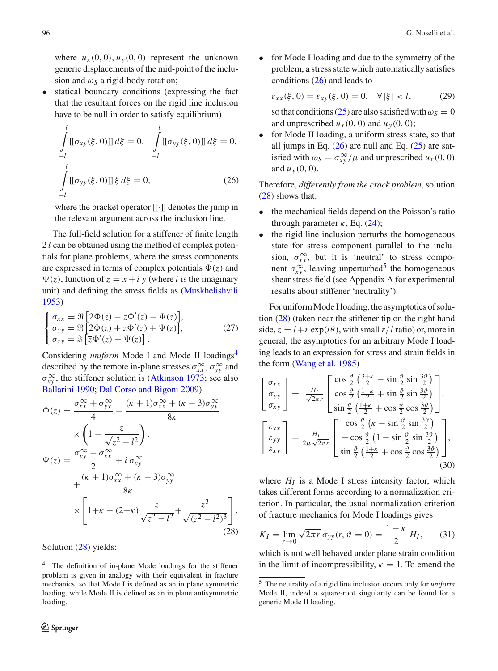where  $u_x(0,0)$ ,  $u_y(0,0)$  represent the unknown generic displacements of the mid-point of the inclusion and  $\omega_s$  a rigid-body rotation;

statical boundary conditions (expressing the fact that the resultant forces on the rigid line inclusion have to be null in order to satisfy equilibrium)

<span id="page-5-2"></span>
$$
\int_{-l}^{l} [[\sigma_{xy}(\xi, 0)]] d\xi = 0, \quad \int_{-l}^{l} [[\sigma_{yy}(\xi, 0)]] d\xi = 0,
$$
\n
$$
\int_{-l}^{l} [[\sigma_{yy}(\xi, 0)]] \xi d\xi = 0,
$$
\n(26)

where the bracket operator [[·]] denotes the jump in the relevant argument across the inclusion line.

The full-field solution for a stiffener of finite length 2 *l* can be obtained using the method of complex potentials for plane problems, where the stress components are expressed in terms of complex potentials  $\Phi(z)$  and  $\Psi(z)$ , function of  $z = x + i y$  (where *i* is the imaginary unit) and defining the stress fields as [\(Muskhelishvili](#page-12-4) [1953](#page-12-4)) ⎩(*z*), function<br>(*x*) and def<br>(*z*<sub>xx</sub> =  $\Re \left[ \frac{\partial}{\partial x} \right]$ 

unit) and defining the stress fields as (Muskhelishvili (953))

\n
$$
\begin{cases}\n\sigma_{xx} = \Re \left[ 2\Phi(z) - \overline{z}\Phi'(z) - \Psi(z) \right], \\
\sigma_{yy} = \Re \left[ 2\Phi(z) + \overline{z}\Phi'(z) + \Psi(z) \right], \\
\sigma_{xy} = \Im \left[ \overline{z}\Phi'(z) + \Psi(z) \right].\n\end{cases}
$$
\n(27)

Considering *uniform* Mode I and Mode II loadings<sup>4</sup> described by the remote in-plane stresses  $\sigma_{xx}^{\infty}$ ,  $\sigma_{yy}^{\infty}$  and  $\sigma_{xy}^{\infty}$ , the stiffener solution is [\(Atkinson 1973;](#page-12-9) see also [Ballarini 1990;](#page-12-10) [Dal Corso and Bigoni 2009\)](#page-12-11) 

<span id="page-5-1"></span>
$$
\Phi(z) = \frac{\sigma_{xx}^{\infty} + \sigma_{yy}^{\infty}}{4} - \frac{(\kappa + 1)\sigma_{xx}^{\infty} + (\kappa - 3)\sigma_{yy}^{\infty}}{8\kappa}
$$

$$
\times \left(1 - \frac{z}{\sqrt{z^2 - l^2}}\right),
$$

$$
\Psi(z) = \frac{\sigma_{yy}^{\infty} - \sigma_{xx}^{\infty}}{2} + i \sigma_{xy}^{\infty}
$$

$$
+ \frac{(\kappa + 1)\sigma_{xx}^{\infty} + (\kappa - 3)\sigma_{yy}^{\infty}}{8\kappa}
$$

$$
\times \left[1 + \kappa - (2 + \kappa)\frac{z}{\sqrt{z^2 - l^2}} + \frac{z^3}{\sqrt{(z^2 - l^2)^3}}\right].
$$
(28)

Solution [\(28\)](#page-5-1) yields:

• for Mode I loading and due to the symmetry of the problem, a stress state which automatically satisfies conditions [\(26\)](#page-5-2) and leads to

 $\varepsilon_{xx}(\xi, 0) = \varepsilon_{xy}(\xi, 0) = 0, \quad \forall |\xi| < l,$  (29)

so that conditions [\(25\)](#page-4-5) are also satisfied with  $\omega_s = 0$ and unprescribed  $u_x(0, 0)$  and  $u_y(0, 0)$ ;

for Mode II loading, a uniform stress state, so that all jumps in Eq.  $(26)$  are null and Eq.  $(25)$  are satisfied with  $\omega_S = \frac{\sigma_{xy}^{\infty}}{\mu}$  and unprescribed  $u_x(0, 0)$ and  $u_y(0, 0)$ .

Therefore, *differently from the crack problem*, solution [\(28\)](#page-5-1) shows that:

- the mechanical fields depend on the Poisson's ratio through parameter  $\kappa$ , Eq. [\(24\)](#page-4-6);
- the rigid line inclusion perturbs the homogeneous state for stress component parallel to the inclusion,  $\sigma_{xx}^{\infty}$ , but it is 'neutral' to stress component  $\sigma_{xy}^{\infty}$ , leaving unperturbed<sup>5</sup> the homogeneous shear stress field (see Appendix A for experimental results about stiffener 'neutrality').

For uniform Mode I loading, the asymptotics of solution  $(28)$  (taken near the stiffener tip on the right hand side,  $z = l + r \exp(i\theta)$ , with small  $r/l$  ratio) or, more in general, the asymptotics for an arbitrary Mode I load-⎡⎤ing leads to an expression for stress and strain fields in the form [\(Wang et al. 1985\)](#page-12-12)  $\frac{1}{\sqrt{2}}$  $\ddot{\phantom{0}}$ 

<span id="page-5-5"></span>
$$
\begin{bmatrix}\n\sigma_{xx} \\
\sigma_{yy} \\
\sigma_{xy}\n\end{bmatrix} = \frac{H_I}{\sqrt{2\pi r}} \begin{bmatrix}\n\cos\frac{\vartheta}{2} \left(\frac{3+\kappa}{2} - \sin\frac{\vartheta}{2} \sin\frac{3\vartheta}{2}\right) \\
\cos\frac{\vartheta}{2} \left(\frac{1-\kappa}{2} + \sin\frac{\vartheta}{2} \sin\frac{3\vartheta}{2}\right) \\
\sin\frac{\vartheta}{2} \left(\frac{1+\kappa}{2} + \cos\frac{\vartheta}{2} \cos\frac{3\vartheta}{2}\right)\n\end{bmatrix},
$$
\n
$$
\begin{bmatrix}\n\varepsilon_{xx} \\
\varepsilon_{yy} \\
\varepsilon_{xy}\n\end{bmatrix} = \frac{H_I}{2\mu\sqrt{2\pi r}} \begin{bmatrix}\n\cos\frac{\vartheta}{2} \left(\kappa - \sin\frac{\vartheta}{2} \sin\frac{3\vartheta}{2}\right) \\
-\cos\frac{\vartheta}{2} \left(1 - \sin\frac{\vartheta}{2} \sin\frac{3\vartheta}{2}\right) \\
\sin\frac{\vartheta}{2} \left(\frac{1+\kappa}{2} + \cos\frac{\vartheta}{2} \cos\frac{3\vartheta}{2}\right)\n\end{bmatrix},
$$
\n(30)

where  $H_I$  is a Mode I stress intensity factor, which takes different forms according to a normalization criterion. In particular, the usual normalization criterion of fracture mechanics for Mode I loadings gives

<span id="page-5-4"></span>
$$
K_I = \lim_{r \to 0} \sqrt{2\pi r} \,\sigma_{yy}(r, \vartheta = 0) = \frac{1 - \kappa}{2} \, H_I,\qquad(31)
$$

which is not well behaved under plane strain condition in the limit of incompressibility,  $\kappa = 1$ . To emend the

<span id="page-5-0"></span><sup>4</sup> The definition of in-plane Mode loadings for the stiffener problem is given in analogy with their equivalent in fracture mechanics, so that Mode I is defined as an in plane symmetric loading, while Mode II is defined as an in plane antisymmetric loading.

<span id="page-5-3"></span><sup>5</sup> The neutrality of a rigid line inclusion occurs only for *uniform* Mode II, indeed a square-root singularity can be found for a generic Mode II loading.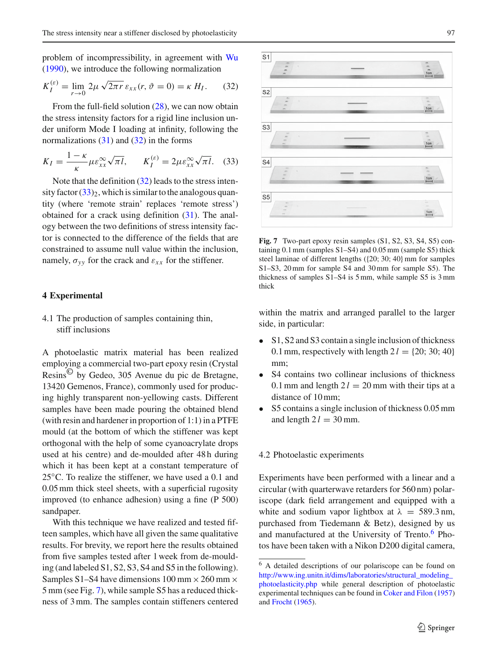problem of incompressibility, in agreement with [Wu](#page-12-13) [\(1990\)](#page-12-13), we introduce the following normalization

<span id="page-6-1"></span>
$$
K_I^{(\varepsilon)} = \lim_{r \to 0} 2\mu \sqrt{2\pi r} \, \varepsilon_{xx}(r, \vartheta = 0) = \kappa \, H_I. \tag{32}
$$

From the full-field solution [\(28\)](#page-5-1), we can now obtain the stress intensity factors for a rigid line inclusion under uniform Mode I loading at infinity, following the normalizations  $(31)$  and  $(32)$  in the forms

<span id="page-6-2"></span>
$$
K_I = \frac{1 - \kappa}{\kappa} \mu \varepsilon_{xx}^{\infty} \sqrt{\pi l}, \qquad K_I^{(\varepsilon)} = 2 \mu \varepsilon_{xx}^{\infty} \sqrt{\pi l}. \tag{33}
$$

Note that the definition  $(32)$  leads to the stress intensity factor  $(33)_{2}$  $(33)_{2}$ , which is similar to the analogous quantity (where 'remote strain' replaces 'remote stress') obtained for a crack using definition [\(31\)](#page-5-4). The analogy between the two definitions of stress intensity factor is connected to the difference of the fields that are constrained to assume null value within the inclusion, namely,  $\sigma_{yy}$  for the crack and  $\varepsilon_{xx}$  for the stiffener.

### **4 Experimental**

4.1 The production of samples containing thin, stiff inclusions

A photoelastic matrix material has been realized employing a commercial two-part epoxy resin (Crystal Resins© by Gedeo, 305 Avenue du pic de Bretagne, 13420 Gemenos, France), commonly used for producing highly transparent non-yellowing casts. Different samples have been made pouring the obtained blend (with resin and hardener in proportion of 1:1) in a PTFE mould (at the bottom of which the stiffener was kept orthogonal with the help of some cyanoacrylate drops used at his centre) and de-moulded after 48 h during which it has been kept at a constant temperature of 25 °C. To realize the stiffener, we have used a 0.1 and 0.05 mm thick steel sheets, with a superficial rugosity improved (to enhance adhesion) using a fine (P 500) sandpaper.

With this technique we have realized and tested fifteen samples, which have all given the same qualitative results. For brevity, we report here the results obtained from five samples tested after 1 week from de-moulding (and labeled S1, S2, S3, S4 and S5 in the following). Samples S1–S4 have dimensions  $100 \text{ mm} \times 260 \text{ mm} \times$ 5 mm (see Fig. [7\)](#page-6-3), while sample S5 has a reduced thickness of 3 mm. The samples contain stiffeners centered



<span id="page-6-3"></span>**Fig. 7** Two-part epoxy resin samples (S1, S2, S3, S4, S5) containing 0.1mm (samples S1–S4) and 0.05mm (sample S5) thick steel laminae of different lengths ({20; 30; 40} mm for samples S1–S3, 20mm for sample S4 and 30mm for sample S5). The thickness of samples S1–S4 is 5mm, while sample S5 is 3mm thick

within the matrix and arranged parallel to the larger side, in particular:

- S1, S2 and S3 contain a single inclusion of thickness 0.1 mm, respectively with length  $2 l = \{20, 30, 40\}$ mm;
- S4 contains two collinear inclusions of thickness 0.1 mm and length  $2l = 20$  mm with their tips at a distance of 10 mm;
- S5 contains a single inclusion of thickness 0.05 mm and length  $2 l = 30$  mm.

#### <span id="page-6-0"></span>4.2 Photoelastic experiments

Experiments have been performed with a linear and a circular (with quarterwave retarders for 560 nm) polariscope (dark field arrangement and equipped with a white and sodium vapor lightbox at  $\lambda = 589.3$  nm, purchased from Tiedemann & Betz), designed by us and manufactured at the University of Trento.<sup>[6](#page-6-4)</sup> Photos have been taken with a Nikon D200 digital camera,

<span id="page-6-4"></span><sup>6</sup> A detailed descriptions of our polariscope can be found on [http://www.ing.unitn.it/dims/laboratories/structural\\_modeling\\_](http://www.ing.unitn.it/dims/laboratories/structural_modeling_photoelasticity.php) [photoelasticity.php](http://www.ing.unitn.it/dims/laboratories/structural_modeling_photoelasticity.php) while general description of photoelastic experimental techniques can be found in [Coker and Filon](#page-12-14) [\(1957](#page-12-14)) and [Frocht](#page-12-15) [\(1965\)](#page-12-15).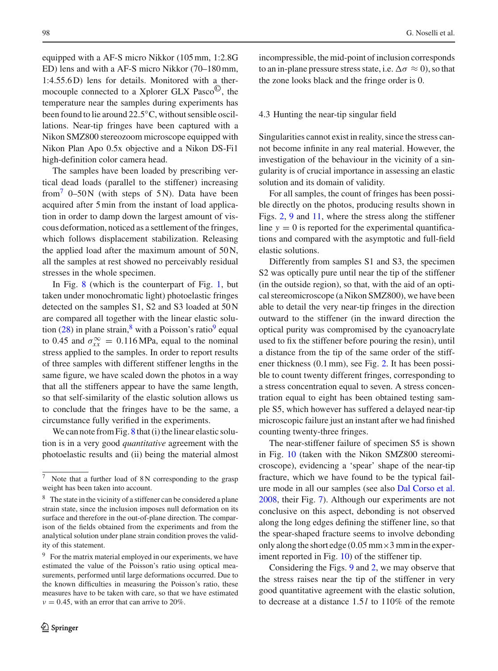equipped with a AF-S micro Nikkor (105 mm, 1:2.8G ED) lens and with a AF-S micro Nikkor (70–180 mm, 1:4.55.6 D) lens for details. Monitored with a thermocouple connected to a Xplorer GLX Pasco©, the temperature near the samples during experiments has been found to lie around 22.5◦C, without sensible oscillations. Near-tip fringes have been captured with a Nikon SMZ800 stereozoom microscope equipped with Nikon Plan Apo 0.5x objective and a Nikon DS-Fi1 high-definition color camera head.

The samples have been loaded by prescribing vertical dead loads (parallel to the stiffener) increasing from<sup>7</sup> 0–50 N (with steps of 5 N). Data have been acquired after 5 min from the instant of load application in order to damp down the largest amount of viscous deformation, noticed as a settlement of the fringes, which follows displacement stabilization. Releasing the applied load after the maximum amount of  $50N$ , all the samples at rest showed no perceivably residual stresses in the whole specimen.

In Fig. [8](#page-8-0) (which is the counterpart of Fig. [1,](#page-2-0) but taken under monochromatic light) photoelastic fringes detected on the samples S1, S2 and S3 loaded at 50 N are compared all together with the linear elastic solu-tion [\(28\)](#page-5-1) in plane strain,  $8$  with a Poisson's ratio<sup>9</sup> equal to 0.45 and  $\sigma_{xx}^{\infty} = 0.116 \text{ MPa}$ , equal to the nominal stress applied to the samples. In order to report results of three samples with different stiffener lengths in the same figure, we have scaled down the photos in a way that all the stiffeners appear to have the same length, so that self-similarity of the elastic solution allows us to conclude that the fringes have to be the same, a circumstance fully verified in the experiments.

We can note from Fig. [8](#page-8-0) that (i) the linear elastic solution is in a very good *quantitative* agreement with the photoelastic results and (ii) being the material almost incompressible, the mid-point of inclusion corresponds to an in-plane pressure stress state, i.e.  $\Delta \sigma \approx 0$ , so that the zone looks black and the fringe order is 0.

#### 4.3 Hunting the near-tip singular field

Singularities cannot exist in reality, since the stress cannot become infinite in any real material. However, the investigation of the behaviour in the vicinity of a singularity is of crucial importance in assessing an elastic solution and its domain of validity.

For all samples, the count of fringes has been possible directly on the photos, producing results shown in Figs. [2,](#page-3-0) [9](#page-8-1) and [11,](#page-9-0) where the stress along the stiffener line  $y = 0$  is reported for the experimental quantifications and compared with the asymptotic and full-field elastic solutions.

Differently from samples S1 and S3, the specimen S2 was optically pure until near the tip of the stiffener (in the outside region), so that, with the aid of an optical stereomicroscope (a Nikon SMZ800), we have been able to detail the very near-tip fringes in the direction outward to the stiffener (in the inward direction the optical purity was compromised by the cyanoacrylate used to fix the stiffener before pouring the resin), until a distance from the tip of the same order of the stiffener thickness (0.1 mm), see Fig. [2.](#page-3-0) It has been possible to count twenty different fringes, corresponding to a stress concentration equal to seven. A stress concentration equal to eight has been obtained testing sample S5, which however has suffered a delayed near-tip microscopic failure just an instant after we had finished counting twenty-three fringes.

The near-stiffener failure of specimen S5 is shown in Fig. [10](#page-9-1) (taken with the Nikon SMZ800 stereomicroscope), evidencing a 'spear' shape of the near-tip fracture, which we have found to be the typical failure mode in all our samples (see also [Dal Corso et al.](#page-12-5) [2008,](#page-12-5) their Fig. [7\)](#page-6-3). Although our experiments are not conclusive on this aspect, debonding is not observed along the long edges defining the stiffener line, so that the spear-shaped fracture seems to involve debonding only along the short edge (0.05 mm  $\times$ 3 mm in the experiment reported in Fig. [10\)](#page-9-1) of the stiffener tip.

Considering the Figs. [9](#page-8-1) and [2,](#page-3-0) we may observe that the stress raises near the tip of the stiffener in very good quantitative agreement with the elastic solution, to decrease at a distance 1.5 *l* to 110% of the remote

<span id="page-7-0"></span>Note that a further load of  $8N$  corresponding to the grasp weight has been taken into account.

<span id="page-7-1"></span><sup>&</sup>lt;sup>8</sup> The state in the vicinity of a stiffener can be considered a plane strain state, since the inclusion imposes null deformation on its surface and therefore in the out-of-plane direction. The comparison of the fields obtained from the experiments and from the analytical solution under plane strain condition proves the validity of this statement.

<span id="page-7-2"></span><sup>&</sup>lt;sup>9</sup> For the matrix material employed in our experiments, we have estimated the value of the Poisson's ratio using optical measurements, performed until large deformations occurred. Due to the known difficulties in measuring the Poisson's ratio, these measures have to be taken with care, so that we have estimated  $v = 0.45$ , with an error that can arrive to 20%.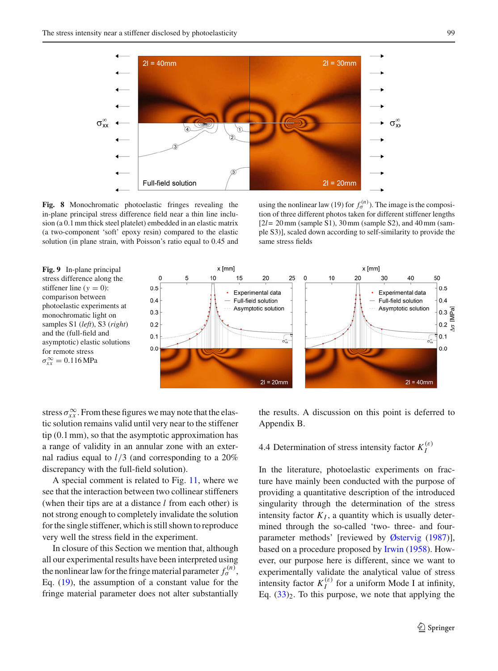

<span id="page-8-0"></span>**Fig. 8** Monochromatic photoelastic fringes revealing the in-plane principal stress difference field near a thin line inclusion (a 0.1mm thick steel platelet) embedded in an elastic matrix (a two-component 'soft' epoxy resin) compared to the elastic solution (in plane strain, with Poisson's ratio equal to 0.45 and

using the nonlinear law (19) for  $f_{\sigma}^{(n)}$ ). The image is the composition of three different photos taken for different stiffener lengths [2*l*= 20mm (sample S1), 30mm (sample S2), and 40mm (sample S3)], scaled down according to self-similarity to provide the same stress fields

<span id="page-8-1"></span>



stress  $\sigma_{xx}^{\infty}$ . From these figures we may note that the elastic solution remains valid until very near to the stiffener tip (0.1 mm), so that the asymptotic approximation has a range of validity in an annular zone with an external radius equal to *l*/3 (and corresponding to a 20% discrepancy with the full-field solution).

A special comment is related to Fig. [11,](#page-9-0) where we see that the interaction between two collinear stiffeners (when their tips are at a distance *l* from each other) is not strong enough to completely invalidate the solution for the single stiffener, which is still shown to reproduce very well the stress field in the experiment.

In closure of this Section we mention that, although all our experimental results have been interpreted using the nonlinear law for the fringe material parameter  $f_{\sigma}^{(n)}$ , Eq. [\(19\)](#page-3-5), the assumption of a constant value for the fringe material parameter does not alter substantially

the results. A discussion on this point is deferred to Appendix B.

# 4.4 Determination of stress intensity factor  $K_I^{(\varepsilon)}$

In the literature, photoelastic experiments on fracture have mainly been conducted with the purpose of providing a quantitative description of the introduced singularity through the determination of the stress intensity factor  $K_I$ , a quantity which is usually determined through the so-called 'two- three- and fourparameter methods' [reviewed by [Østervig](#page-12-0) [\(1987\)](#page-12-0)], based on a procedure proposed by [Irwin](#page-12-16) [\(1958](#page-12-16)). However, our purpose here is different, since we want to experimentally validate the analytical value of stress intensity factor  $K_I^{(\varepsilon)}$  for a uniform Mode I at infinity, Eq.  $(33)_2$  $(33)_2$ . To this purpose, we note that applying the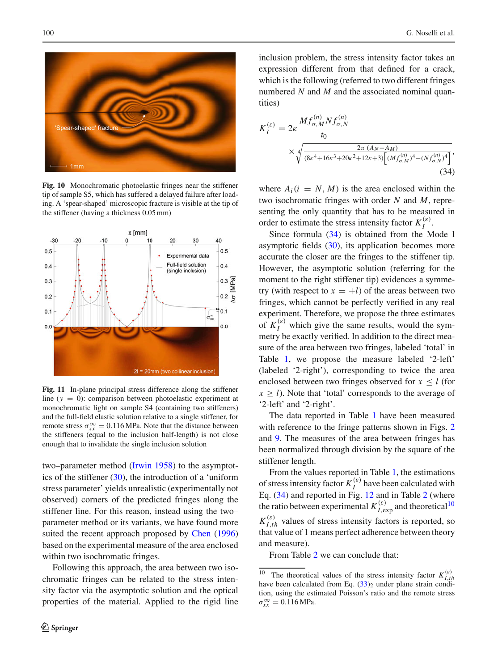

**Fig. 10** Monochromatic photoelastic fringes near the stiffener tip of sample S5, which has suffered a delayed failure after loading. A 'spear-shaped' microscopic fracture is visible at the tip of the stiffener (having a thickness 0.05mm)

<span id="page-9-1"></span>

<span id="page-9-0"></span>**Fig. 11** In-plane principal stress difference along the stiffener line (*y* = 0): comparison between photoelastic experiment at monochromatic light on sample S4 (containing two stiffeners) and the full-field elastic solution relative to a single stiffener, for remote stress  $\sigma_{xx}^{\infty} = 0.116 \text{ MPa}$ . Note that the distance between the stiffeners (equal to the inclusion half-length) is not close enough that to invalidate the single inclusion solution

two–parameter method [\(Irwin 1958\)](#page-12-16) to the asymptotics of the stiffener  $(30)$ , the introduction of a 'uniform stress parameter' yields unrealistic (experimentally not observed) corners of the predicted fringes along the stiffener line. For this reason, instead using the two– parameter method or its variants, we have found more suited the recent approach proposed by [Chen](#page-12-17) [\(1996\)](#page-12-17) based on the experimental measure of the area enclosed within two isochromatic fringes.

Following this approach, the area between two isochromatic fringes can be related to the stress intensity factor via the asymptotic solution and the optical properties of the material. Applied to the rigid line

inclusion problem, the stress intensity factor takes an expression different from that defined for a crack, which is the following (referred to two different fringes numbered *N* and *M* and the associated nominal quantities)

<span id="page-9-2"></span>
$$
K_{I}^{(\varepsilon)} = 2\kappa \frac{M f_{\sigma,M}^{(n)} N f_{\sigma,N}^{(n)}}{t_0}
$$
  
 
$$
\times \sqrt[4]{\frac{2\pi (A_N - A_M)}{(8\kappa^4 + 16\kappa^3 + 20\kappa^2 + 12\kappa + 3)\left[ (M f_{\sigma,M}^{(n)})^4 - (N f_{\sigma,N}^{(n)})^4 \right]}},
$$
(34)

where  $A_i(i = N, M)$  is the area enclosed within the two isochromatic fringes with order *N* and *M*, representing the only quantity that has to be measured in order to estimate the stress intensity factor  $K_I^{(\varepsilon)}$ .

Since formula [\(34\)](#page-9-2) is obtained from the Mode I asymptotic fields  $(30)$ , its application becomes more accurate the closer are the fringes to the stiffener tip. However, the asymptotic solution (referring for the moment to the right stiffener tip) evidences a symmetry (with respect to  $x = +l$ ) of the areas between two fringes, which cannot be perfectly verified in any real experiment. Therefore, we propose the three estimates of  $K_I^{(\varepsilon)}$  which give the same results, would the symmetry be exactly verified. In addition to the direct measure of the area between two fringes, labeled 'total' in Table [1,](#page-10-0) we propose the measure labeled '2-left' (labeled '2-right'), corresponding to twice the area enclosed between two fringes observed for  $x \leq l$  (for  $x > l$ ). Note that 'total' corresponds to the average of '2-left' and '2-right'.

The data reported in Table [1](#page-10-0) have been measured with reference to the fringe patterns shown in Figs. [2](#page-3-0) and [9.](#page-8-1) The measures of the area between fringes has been normalized through division by the square of the stiffener length.

From the values reported in Table [1,](#page-10-0) the estimations of stress intensity factor  $K_I^{(e)}$  have been calculated with Eq. [\(34\)](#page-9-2) and reported in Fig. [12](#page-10-1) and in Table [2](#page-10-2) (where the ratio between experimental  $K_{I,\text{exp}}^{(\varepsilon)}$  and theoretical<sup>[10](#page-9-3)</sup>  $K_{I,th}^{(\varepsilon)}$  values of stress intensity factors is reported, so that value of 1 means perfect adherence between theory and measure).

From Table [2](#page-10-2) we can conclude that:

<span id="page-9-3"></span><sup>&</sup>lt;sup>10</sup> The theoretical values of the stress intensity factor  $K_{I,th}^{(\varepsilon)}$  have been calculated from Eq. [\(33\)](#page-6-2)<sub>2</sub> under plane strain condition, using the estimated Poisson's ratio and the remote stress  $\sigma_{xx}^{\infty} = 0.116 \text{ MPa}.$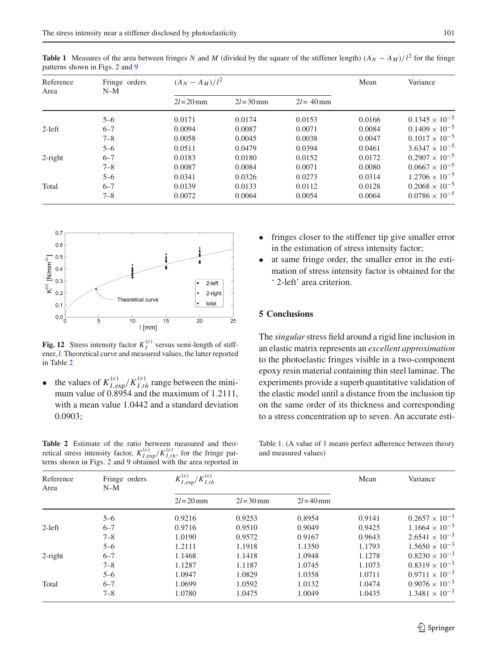| Reference<br>Area | Fringe orders<br>$N-M$ | $(A_N - A_M)/l^2$ |              |              | Mean   | Variance                |
|-------------------|------------------------|-------------------|--------------|--------------|--------|-------------------------|
|                   |                        | $2l = 20$ mm      | $2l = 30$ mm | $2l = 40$ mm |        |                         |
|                   | $5 - 6$                | 0.0171            | 0.0174       | 0.0153       | 0.0166 | $0.1345 \times 10^{-5}$ |
| $2$ -left         | $6 - 7$                | 0.0094            | 0.0087       | 0.0071       | 0.0084 | $0.1409 \times 10^{-5}$ |
|                   | $7 - 8$                | 0.0058            | 0.0045       | 0.0038       | 0.0047 | $0.1017 \times 10^{-5}$ |
|                   | $5 - 6$                | 0.0511            | 0.0479       | 0.0394       | 0.0461 | $3.6347 \times 10^{-5}$ |
| $2$ -right        | $6 - 7$                | 0.0183            | 0.0180       | 0.0152       | 0.0172 | $0.2907 \times 10^{-5}$ |
|                   | $7 - 8$                | 0.0087            | 0.0084       | 0.0071       | 0.0080 | $0.0667 \times 10^{-5}$ |
|                   | $5 - 6$                | 0.0341            | 0.0326       | 0.0273       | 0.0314 | $1.2706 \times 10^{-5}$ |
| Total             | $6 - 7$                | 0.0139            | 0.0133       | 0.0112       | 0.0128 | $0.2068 \times 10^{-5}$ |
|                   | 7–8                    | 0.0072            | 0.0064       | 0.0054       | 0.0064 | $0.0786 \times 10^{-5}$ |

<span id="page-10-0"></span>**Table 1** Measures of the area between fringes *N* and *M* (divided by the square of the stiffener length)  $(A_N - A_M)/l^2$  for the fringe patterns shown in Figs. [2](#page-3-0) and [9](#page-8-1)



<span id="page-10-1"></span>**Fig. 12** Stress intensity factor  $K_I^{(\varepsilon)}$  versus semi-length of stiffener, *l*. Theoretical curve and measured values, the latter reported in Table [2](#page-10-2)

• the values of  $K_{I, \text{exp}}^{(\varepsilon)}/K_{I, th}^{(\varepsilon)}$  range between the minimum value of 0.8954 and the maximum of 1.2111, with a mean value 1.0442 and a standard deviation 0.0903;

<span id="page-10-2"></span>**Table 2** Estimate of the ratio between measured and theoretical stress intensity factor,  $K_{I,exp}^{(\varepsilon)}/K_{I,th}^{(\varepsilon)}$ , for the fringe patterns shown in Figs. [2](#page-3-0) and [9](#page-8-1) obtained with the area reported in

- fringes closer to the stiffener tip give smaller error in the estimation of stress intensity factor;
- at same fringe order, the smaller error in the estimation of stress intensity factor is obtained for the ' 2-left' area criterion.

### **5 Conclusions**

The *singular*stress field around a rigid line inclusion in an elastic matrix represents an *excellent approximation* to the photoelastic fringes visible in a two-component epoxy resin material containing thin steel laminae. The experiments provide a superb quantitative validation of the elastic model until a distance from the inclusion tip on the same order of its thickness and corresponding to a stress concentration up to seven. An accurate esti-

Table [1.](#page-10-0) (A value of 1 means perfect adherence between theory and measured values)

| Reference<br>Area | Fringe orders<br>$N-M$ | $/K_{I,th}^{(\varepsilon)}$<br>$K_{I,exp}^{(\varepsilon)}/$ |              |              | Mean   | Variance                |
|-------------------|------------------------|-------------------------------------------------------------|--------------|--------------|--------|-------------------------|
|                   |                        | $2l = 20$ mm                                                | $2l = 30$ mm | $2l = 40$ mm |        |                         |
|                   | $5 - 6$                | 0.9216                                                      | 0.9253       | 0.8954       | 0.9141 | $0.2657 \times 10^{-3}$ |
| $2$ -left         | $6 - 7$                | 0.9716                                                      | 0.9510       | 0.9049       | 0.9425 | $1.1664 \times 10^{-3}$ |
|                   | $7 - 8$                | 1.0190                                                      | 0.9572       | 0.9167       | 0.9643 | $2.6541 \times 10^{-3}$ |
|                   | $5 - 6$                | 1.2111                                                      | 1.1918       | 1.1350       | 1.1793 | $1.5650 \times 10^{-3}$ |
| $2$ -right        | $6 - 7$                | 1.1468                                                      | 1.1418       | 1.0948       | 1.1278 | $0.8230 \times 10^{-3}$ |
|                   | $7 - 8$                | 1.1287                                                      | 1.1187       | 1.0745       | 1.1073 | $0.8319 \times 10^{-3}$ |
|                   | $5 - 6$                | 1.0947                                                      | 1.0829       | 1.0358       | 1.0711 | $0.9711 \times 10^{-3}$ |
| Total             | $6 - 7$                | 1.0699                                                      | 1.0592       | 1.0132       | 1.0474 | $0.9076 \times 10^{-3}$ |
|                   | $7 - 8$                | 1.0780                                                      | 1.0475       | 1.0049       | 1.0435 | $1.3481 \times 10^{-3}$ |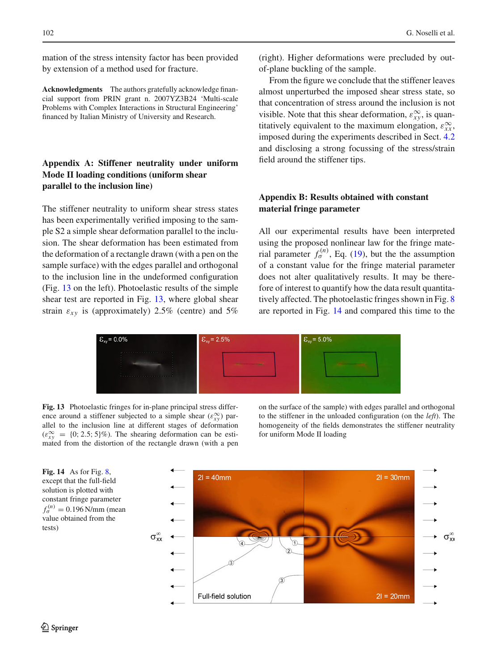mation of the stress intensity factor has been provided by extension of a method used for fracture.

**Acknowledgments** The authors gratefully acknowledge financial support from PRIN grant n. 2007YZ3B24 'Multi-scale Problems with Complex Interactions in Structural Engineering' financed by Italian Ministry of University and Research.

## **Appendix A: Stiffener neutrality under uniform Mode II loading conditions (uniform shear parallel to the inclusion line)**

The stiffener neutrality to uniform shear stress states has been experimentally verified imposing to the sample S2 a simple shear deformation parallel to the inclusion. The shear deformation has been estimated from the deformation of a rectangle drawn (with a pen on the sample surface) with the edges parallel and orthogonal to the inclusion line in the undeformed configuration (Fig. [13](#page-11-0) on the left). Photoelastic results of the simple shear test are reported in Fig. [13,](#page-11-0) where global shear strain  $\varepsilon_{xy}$  is (approximately) 2.5% (centre) and 5%

(right). Higher deformations were precluded by outof-plane buckling of the sample.

From the figure we conclude that the stiffener leaves almost unperturbed the imposed shear stress state, so that concentration of stress around the inclusion is not visible. Note that this shear deformation,  $\varepsilon_{xy}^{\infty}$ , is quantitatively equivalent to the maximum elongation,  $\varepsilon_{xx}^{\infty}$ , imposed during the experiments described in Sect. [4.2](#page-6-0) and disclosing a strong focussing of the stress/strain field around the stiffener tips.

## **Appendix B: Results obtained with constant material fringe parameter**

All our experimental results have been interpreted using the proposed nonlinear law for the fringe material parameter  $f_{\sigma}^{(n)}$ , Eq. [\(19\)](#page-3-5), but the the assumption of a constant value for the fringe material parameter does not alter qualitatively results. It may be therefore of interest to quantify how the data result quantitatively affected. The photoelastic fringes shown in Fig. [8](#page-8-0) are reported in Fig. [14](#page-11-1) and compared this time to the



<span id="page-11-0"></span>**Fig. 13** Photoelastic fringes for in-plane principal stress difference around a stiffener subjected to a simple shear  $(\varepsilon_{xy}^{\infty})$  parallel to the inclusion line at different stages of deformation  $(\varepsilon_{xy}^{\infty} = \{0; 2.5; 5\})$ %). The shearing deformation can be estimated from the distortion of the rectangle drawn (with a pen

on the surface of the sample) with edges parallel and orthogonal to the stiffener in the unloaded configuration (on the *left*). The homogeneity of the fields demonstrates the stiffener neutrality for uniform Mode II loading

<span id="page-11-1"></span>